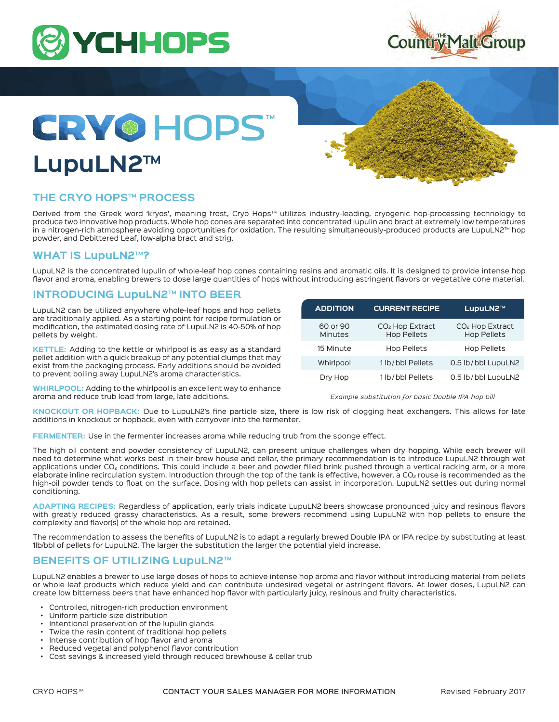



# CRYOHOPST

## **LupuLN2™**

### **THE CRYO HOPS™ PROCESS**

Derived from the Greek word 'kryos', meaning frost, Cryo Hops™ utilizes industry-leading, cryogenic hop-processing technology to produce two innovative hop products. Whole hop cones are separated into concentrated lupulin and bract at extremely low temperatures in a nitrogen-rich atmosphere avoiding opportunities for oxidation. The resulting simultaneously-produced products are LupuLN2™ hop powder, and Debittered Leaf, low-alpha bract and strig.

#### **WHAT IS LupuLN2™?**

LupuLN2 is the concentrated lupulin of whole-leaf hop cones containing resins and aromatic oils. It is designed to provide intense hop flavor and aroma, enabling brewers to dose large quantities of hops without introducing astringent flavors or vegetative cone material.

#### **INTRODUCING LupuLN2™ INTO BEER**

LupuLN2 can be utilized anywhere whole-leaf hops and hop pellets are traditionally applied. As a starting point for recipe formulation or modification, the estimated dosing rate of LupuLN2 is 40-50% of hop pellets by weight.

**KETTLE:** Adding to the kettle or whirlpool is as easy as a standard pellet addition with a quick breakup of any potential clumps that may exist from the packaging process. Early additions should be avoided to prevent boiling away LupuLN2's aroma characteristics.

**WHIRLPOOL:** Adding to the whirlpool is an excellent way to enhance aroma and reduce trub load from large, late additions.

| <b>ADDITION</b>            | <b>CURRENT RECIPE</b>                   | LupuLN2™                                |
|----------------------------|-----------------------------------------|-----------------------------------------|
| 60 or 90<br><b>Minutes</b> | $CO2$ Hop Extract<br><b>Hop Pellets</b> | $CO2$ Hop Extract<br><b>Hop Pellets</b> |
| 15 Minute                  | <b>Hop Pellets</b>                      | <b>Hop Pellets</b>                      |
| Whirlpool                  | 1 lb/bbl Pellets                        | 0.5 lb/bbl LupuLN2                      |
| Dry Hop                    | 1 lb/bbl Pellets                        | 0.5 lb/bbl LupuLN2                      |

*Example substitution for basic Double IPA hop bill*

**KNOCKOUT OR HOPBACK:** Due to LupuLN2's fine particle size, there is low risk of clogging heat exchangers. This allows for late additions in knockout or hopback, even with carryover into the fermenter.

**FERMENTER:** Use in the fermenter increases aroma while reducing trub from the sponge effect.

The high oil content and powder consistency of LupuLN2, can present unique challenges when dry hopping. While each brewer will need to determine what works best in their brew house and cellar, the primary recommendation is to introduce LupuLN2 through wet applications under CO<sub>2</sub> conditions. This could include a beer and powder filled brink pushed through a vertical racking arm, or a more elaborate inline recirculation system. Introduction through the top of the tank is effective, however, a CO<sub>2</sub> rouse is recommended as the high-oil powder tends to float on the surface. Dosing with hop pellets can assist in incorporation. LupuLN2 settles out during normal conditioning.

**ADAPTING RECIPES:** Regardless of application, early trials indicate LupuLN2 beers showcase pronounced juicy and resinous flavors with greatly reduced grassy characteristics. As a result, some brewers recommend using LupuLN2 with hop pellets to ensure the complexity and flavor(s) of the whole hop are retained.

The recommendation to assess the benefits of LupuLN2 is to adapt a regularly brewed Double IPA or IPA recipe by substituting at least 1lb/bbl of pellets for LupuLN2. The larger the substitution the larger the potential yield increase.

#### **BENEFITS OF UTILIZING LupuLN2™**

LupuLN2 enables a brewer to use large doses of hops to achieve intense hop aroma and flavor without introducing material from pellets or whole leaf products which reduce yield and can contribute undesired vegetal or astringent flavors. At lower doses, LupuLN2 can create low bitterness beers that have enhanced hop flavor with particularly juicy, resinous and fruity characteristics.

- Controlled, nitrogen-rich production environment
- Uniform particle size distribution
- Intentional preservation of the lupulin glands
- Twice the resin content of traditional hop pellets
- Intense contribution of hop flavor and aroma
- Reduced vegetal and polyphenol flavor contribution
- Cost savings & increased yield through reduced brewhouse & cellar trub